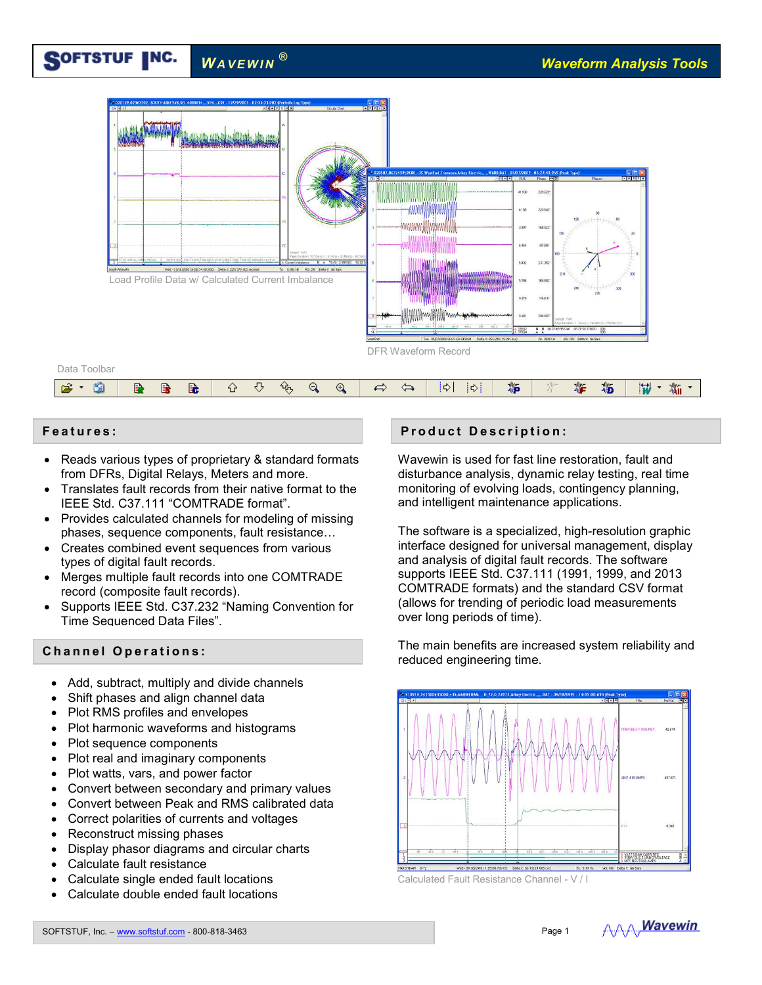#### SOFTSTUF INC.  $W$ *A VEWIN*<sup>®</sup>



- Reads various types of proprietary & standard formats from DFRs, Digital Relays, Meters and more.
- Translates fault records from their native format to the IEEE Std. C37.111 "COMTRADE format".
- Provides calculated channels for modeling of missing phases, sequence components, fault resistance…
- Creates combined event sequences from various types of digital fault records.
- Merges multiple fault records into one COMTRADE record (composite fault records).
- Supports IEEE Std. C37.232 "Naming Convention for Time Sequenced Data Files".

## **C h a n n e l O p e r a t i o n s :**

- Add, subtract, multiply and divide channels
- Shift phases and align channel data
- Plot RMS profiles and envelopes
- Plot harmonic waveforms and histograms
- Plot sequence components
- Plot real and imaginary components
- Plot watts, vars, and power factor
- Convert between secondary and primary values
- Convert between Peak and RMS calibrated data
- Correct polarities of currents and voltages
- Reconstruct missing phases
- Display phasor diagrams and circular charts
- Calculate fault resistance
- Calculate single ended fault locations
- Calculate double ended fault locations

# **Features:** The state of the state of the state of the state of the state of the state of the state of the state of the state of the state of the state of the state of the state of the state of the state of the state of th

Wavewin is used for fast line restoration, fault and disturbance analysis, dynamic relay testing, real time monitoring of evolving loads, contingency planning, and intelligent maintenance applications.

The software is a specialized, high-resolution graphic interface designed for universal management, display and analysis of digital fault records. The software supports IEEE Std. C37.111 (1991, 1999, and 2013 COMTRADE formats) and the standard CSV format (allows for trending of periodic load measurements over long periods of time).

The main benefits are increased system reliability and reduced engineering time.



Calculated Fault Resistance Channel - V / I